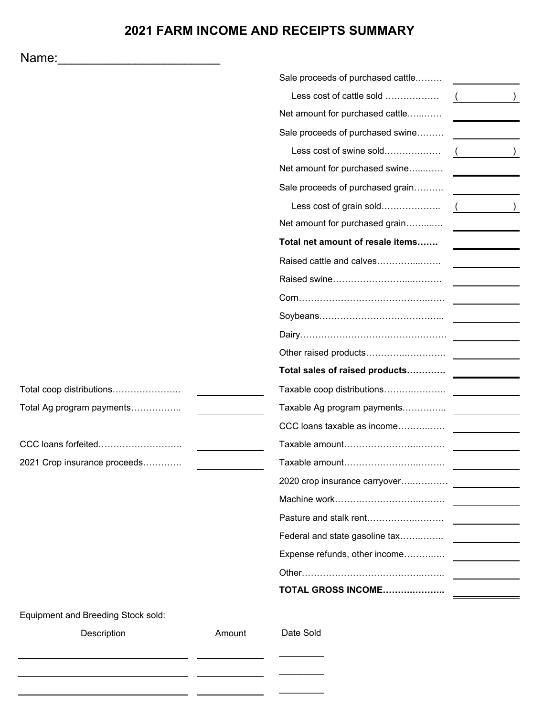# **2021 FARM INCOME AND RECEIPTS SUMMARY**

| Name:                              |        |                                   |  |
|------------------------------------|--------|-----------------------------------|--|
|                                    |        | Sale proceeds of purchased cattle |  |
|                                    |        | Less cost of cattle sold          |  |
|                                    |        | Net amount for purchased cattle   |  |
|                                    |        | Sale proceeds of purchased swine  |  |
|                                    |        | Less cost of swine sold           |  |
|                                    |        | Net amount for purchased swine    |  |
|                                    |        | Sale proceeds of purchased grain  |  |
|                                    |        | Less cost of grain sold           |  |
|                                    |        | Net amount for purchased grain    |  |
|                                    |        | Total net amount of resale items  |  |
|                                    |        | Raised cattle and calves          |  |
|                                    |        |                                   |  |
|                                    |        |                                   |  |
|                                    |        |                                   |  |
|                                    |        |                                   |  |
|                                    |        | Other raised products             |  |
|                                    |        | Total sales of raised products    |  |
| Total coop distributions           |        | Taxable coop distributions        |  |
| Total Ag program payments          |        | Taxable Ag program payments       |  |
|                                    |        | CCC loans taxable as income       |  |
| CCC loans forfeited                |        | Taxable amount                    |  |
| 2021 Crop insurance proceeds       |        |                                   |  |
|                                    |        | 2020 crop insurance carryover     |  |
|                                    |        |                                   |  |
|                                    |        | Pasture and stalk rent            |  |
|                                    |        | Federal and state gasoline tax    |  |
|                                    |        | Expense refunds, other income     |  |
|                                    |        |                                   |  |
|                                    |        | TOTAL GROSS INCOME                |  |
| Equipment and Breeding Stock sold: |        |                                   |  |
| Description                        | Amount | Date Sold                         |  |
|                                    |        |                                   |  |
|                                    |        |                                   |  |
|                                    |        |                                   |  |

 $\overline{\phantom{0}}$  $\sim$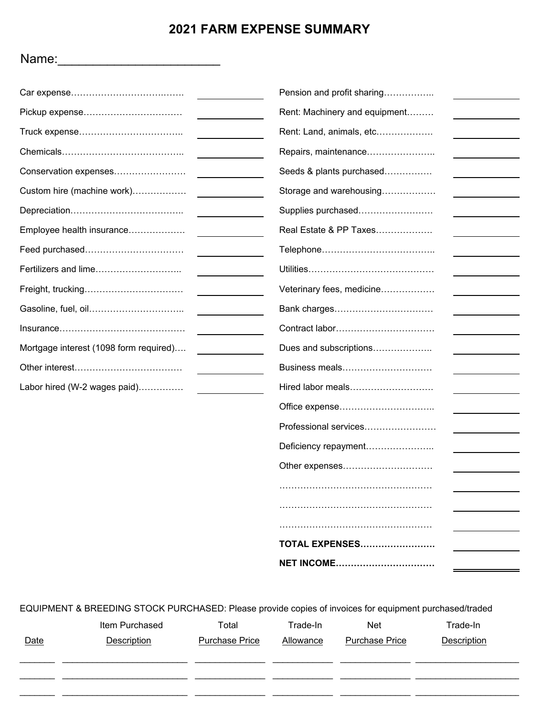# **2021 FARM EXPENSE SUMMARY**

|                                        | Pension and profit sharing    |
|----------------------------------------|-------------------------------|
| Pickup expense                         | Rent: Machinery and equipment |
|                                        | Rent: Land, animals, etc      |
|                                        | Repairs, maintenance          |
| Conservation expenses                  | Seeds & plants purchased      |
| Custom hire (machine work)             | Storage and warehousing       |
|                                        | Supplies purchased            |
| Employee health insurance              | Real Estate & PP Taxes        |
| Feed purchased                         |                               |
| Fertilizers and lime                   |                               |
| Freight, trucking                      | Veterinary fees, medicine     |
| Gasoline, fuel, oil                    | Bank charges                  |
|                                        |                               |
| Mortgage interest (1098 form required) | Dues and subscriptions        |
|                                        | Business meals                |
| Labor hired (W-2 wages paid)           | Hired labor meals             |
|                                        | Office expense                |
|                                        | Professional services         |
|                                        | Deficiency repayment          |
|                                        | Other expenses                |
|                                        |                               |
|                                        |                               |
|                                        |                               |
|                                        | <b>TOTAL EXPENSES</b>         |
|                                        | <b>NET INCOME</b>             |

EQUIPMENT & BREEDING STOCK PURCHASED: Please provide copies of invoices for equipment purchased/traded

| <b>Date</b> | Item Purchased<br>Description | Total<br>Purchase Price | Trade-In<br>Allowance | <b>Net</b><br><b>Purchase Price</b> | Trade-In<br>Description |
|-------------|-------------------------------|-------------------------|-----------------------|-------------------------------------|-------------------------|
|             |                               |                         |                       |                                     |                         |
|             |                               |                         |                       |                                     |                         |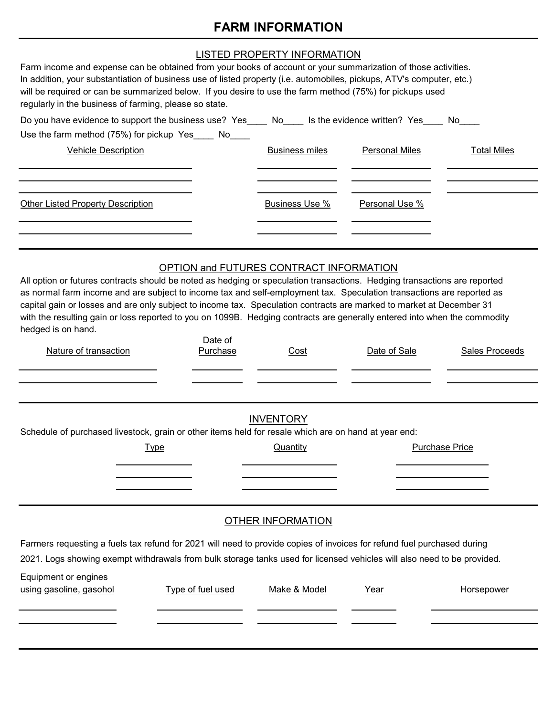# **FARM INFORMATION**

| Farm income and expense can be obtained from your books of account or your summarization of those activities.<br>In addition, your substantiation of business use of listed property (i.e. automobiles, pickups, ATV's computer, etc.)<br>will be required or can be summarized below. If you desire to use the farm method (75%) for pickups used<br>regularly in the business of farming, please so state.                                                                                                                                                             | LISTED PROPERTY INFORMATION |                       |                       |                    |  |  |
|--------------------------------------------------------------------------------------------------------------------------------------------------------------------------------------------------------------------------------------------------------------------------------------------------------------------------------------------------------------------------------------------------------------------------------------------------------------------------------------------------------------------------------------------------------------------------|-----------------------------|-----------------------|-----------------------|--------------------|--|--|
| Do you have evidence to support the business use? Yes____ No____ Is the evidence written? Yes____ No____                                                                                                                                                                                                                                                                                                                                                                                                                                                                 |                             |                       |                       |                    |  |  |
| Use the farm method (75%) for pickup Yes____ No_                                                                                                                                                                                                                                                                                                                                                                                                                                                                                                                         |                             |                       |                       |                    |  |  |
| <b>Vehicle Description</b>                                                                                                                                                                                                                                                                                                                                                                                                                                                                                                                                               |                             | <b>Business miles</b> | <b>Personal Miles</b> | <b>Total Miles</b> |  |  |
| <b>Other Listed Property Description</b>                                                                                                                                                                                                                                                                                                                                                                                                                                                                                                                                 |                             | <b>Business Use %</b> | Personal Use %        |                    |  |  |
| OPTION and FUTURES CONTRACT INFORMATION<br>All option or futures contracts should be noted as hedging or speculation transactions. Hedging transactions are reported<br>as normal farm income and are subject to income tax and self-employment tax. Speculation transactions are reported as<br>capital gain or losses and are only subject to income tax. Speculation contracts are marked to market at December 31<br>with the resulting gain or loss reported to you on 1099B. Hedging contracts are generally entered into when the commodity<br>hedged is on hand. |                             |                       |                       |                    |  |  |
| Nature of transaction                                                                                                                                                                                                                                                                                                                                                                                                                                                                                                                                                    | Date of<br>Purchase         | Cost                  | Date of Sale          | Sales Proceeds     |  |  |
| Schedule of purchased livestock, grain or other items held for resale which are on hand at year end:<br><b>Type</b>                                                                                                                                                                                                                                                                                                                                                                                                                                                      | <b>INVENTORY</b>            | Quantity              | <b>Purchase Price</b> |                    |  |  |

## OTHER INFORMATION

Farmers requesting a fuels tax refund for 2021 will need to provide copies of invoices for refund fuel purchased during 2021. Logs showing exempt withdrawals from bulk storage tanks used for licensed vehicles will also need to be provided.

| Equipment or engines<br>using gasoline, gasohol | Type of fuel used | Make & Model | Year | Horsepower |
|-------------------------------------------------|-------------------|--------------|------|------------|
|                                                 |                   |              |      |            |